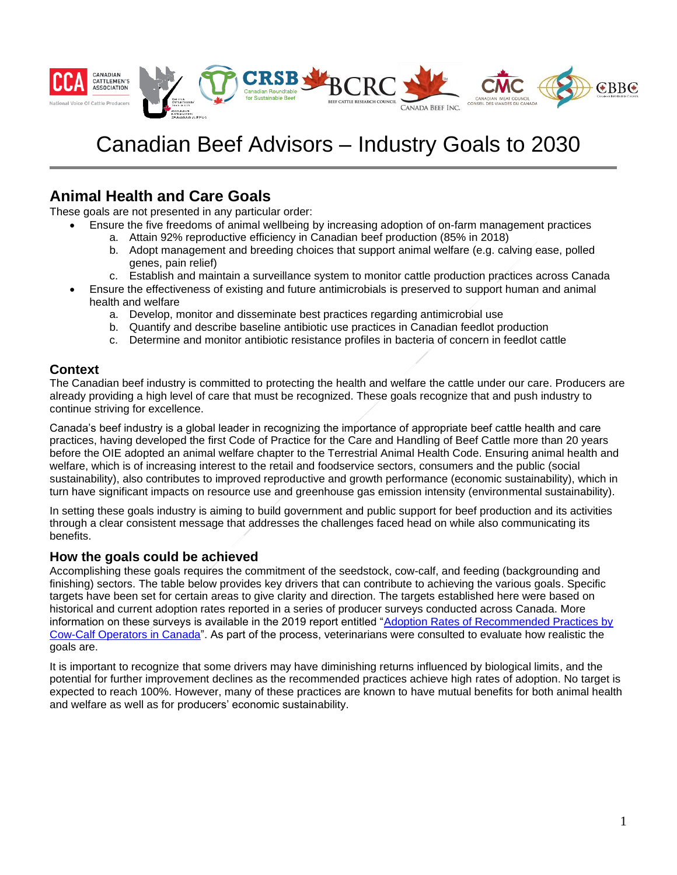

# Canadian Beef Advisors – Industry Goals to 2030

## **Animal Health and Care Goals**

These goals are not presented in any particular order:

- Ensure the five freedoms of animal wellbeing by increasing adoption of on-farm management practices
	- a. Attain 92% reproductive efficiency in Canadian beef production (85% in 2018)
	- b. Adopt management and breeding choices that support animal welfare (e.g. calving ease, polled genes, pain relief)
	- c. Establish and maintain a surveillance system to monitor cattle production practices across Canada
- Ensure the effectiveness of existing and future antimicrobials is preserved to support human and animal health and welfare
	- a. Develop, monitor and disseminate best practices regarding antimicrobial use
	- b. Quantify and describe baseline antibiotic use practices in Canadian feedlot production
	- c. Determine and monitor antibiotic resistance profiles in bacteria of concern in feedlot cattle

#### **Context**

The Canadian beef industry is committed to protecting the health and welfare the cattle under our care. Producers are already providing a high level of care that must be recognized. These goals recognize that and push industry to continue striving for excellence.

Canada's beef industry is a global leader in recognizing the importance of appropriate beef cattle health and care practices, having developed the first Code of Practice for the Care and Handling of Beef Cattle more than 20 years before the OIE adopted an animal welfare chapter to the Terrestrial Animal Health Code. Ensuring animal health and welfare, which is of increasing interest to the retail and foodservice sectors, consumers and the public (social sustainability), also contributes to improved reproductive and growth performance (economic sustainability), which in turn have significant impacts on resource use and greenhouse gas emission intensity (environmental sustainability).

In setting these goals industry is aiming to build government and public support for beef production and its activities through a clear consistent message that addresses the challenges faced head on while also communicating its benefits.

#### **How the goals could be achieved**

Accomplishing these goals requires the commitment of the seedstock, cow-calf, and feeding (backgrounding and finishing) sectors. The table below provides key drivers that can contribute to achieving the various goals. Specific targets have been set for certain areas to give clarity and direction. The targets established here were based on historical and current adoption rates reported in a series of producer surveys conducted across Canada. More information on these surveys is available in the 2019 report entitled ["Adoption Rates of Recommended Practices by](http://www.beefresearch.ca/files/Adoption_Rates_of_Recommended_Practices_by_Cow-Calf_Operators_in_Canada_-_March_2019_Final.pdf)  [Cow-Calf Operators in Canada"](http://www.beefresearch.ca/files/Adoption_Rates_of_Recommended_Practices_by_Cow-Calf_Operators_in_Canada_-_March_2019_Final.pdf). As part of the process, veterinarians were consulted to evaluate how realistic the goals are.

It is important to recognize that some drivers may have diminishing returns influenced by biological limits, and the potential for further improvement declines as the recommended practices achieve high rates of adoption. No target is expected to reach 100%. However, many of these practices are known to have mutual benefits for both animal health and welfare as well as for producers' economic sustainability.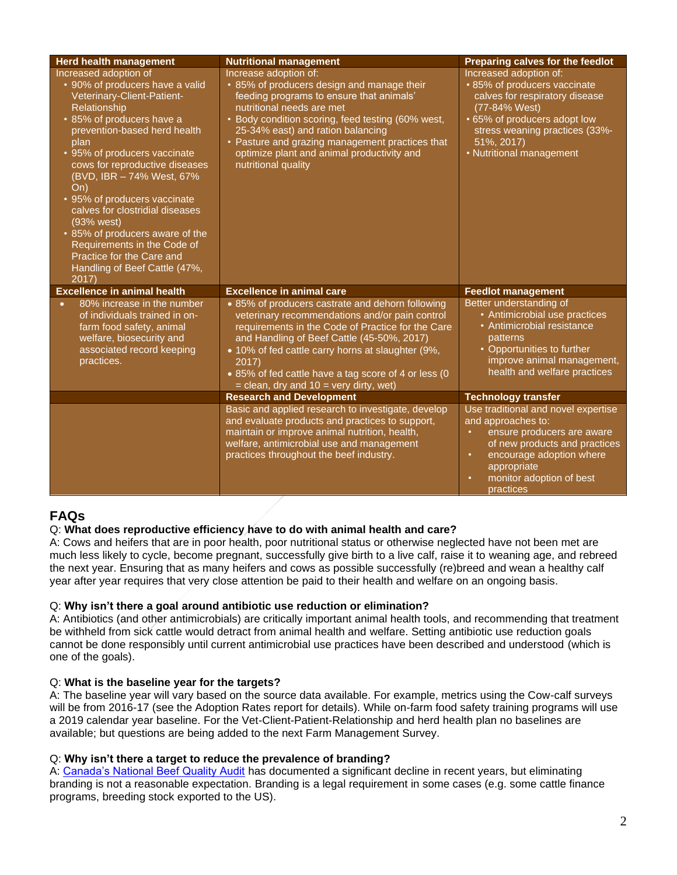| <b>Herd health management</b>                                                                                                                                                                                                                                                                                                                                                                                                                                                                              | <b>Nutritional management</b>                                                                                                                                                                                                                                                                                                                                             | Preparing calves for the feedlot                                                                                                                                                                                                                    |
|------------------------------------------------------------------------------------------------------------------------------------------------------------------------------------------------------------------------------------------------------------------------------------------------------------------------------------------------------------------------------------------------------------------------------------------------------------------------------------------------------------|---------------------------------------------------------------------------------------------------------------------------------------------------------------------------------------------------------------------------------------------------------------------------------------------------------------------------------------------------------------------------|-----------------------------------------------------------------------------------------------------------------------------------------------------------------------------------------------------------------------------------------------------|
| Increased adoption of<br>• 90% of producers have a valid<br>Veterinary-Client-Patient-<br>Relationship<br>• 85% of producers have a<br>prevention-based herd health<br>plan<br>• 95% of producers vaccinate<br>cows for reproductive diseases<br>(BVD, IBR - 74% West, 67%<br>On)<br>• 95% of producers vaccinate<br>calves for clostridial diseases<br>(93% west)<br>• 85% of producers aware of the<br>Requirements in the Code of<br>Practice for the Care and<br>Handling of Beef Cattle (47%,<br>2017 | Increase adoption of:<br>• 85% of producers design and manage their<br>feeding programs to ensure that animals'<br>nutritional needs are met<br>• Body condition scoring, feed testing (60% west,<br>25-34% east) and ration balancing<br>• Pasture and grazing management practices that<br>optimize plant and animal productivity and<br>nutritional quality            | Increased adoption of:<br>• 85% of producers vaccinate<br>calves for respiratory disease<br>(77-84% West)<br>• 65% of producers adopt low<br>stress weaning practices (33%-<br>51%, 2017)<br>• Nutritional management                               |
| <b>Excellence in animal health</b>                                                                                                                                                                                                                                                                                                                                                                                                                                                                         | <b>Excellence in animal care</b>                                                                                                                                                                                                                                                                                                                                          | <b>Feedlot management</b>                                                                                                                                                                                                                           |
| 80% increase in the number<br>of individuals trained in on-<br>farm food safety, animal<br>welfare, biosecurity and<br>associated record keeping<br>practices.                                                                                                                                                                                                                                                                                                                                             | • 85% of producers castrate and dehorn following<br>veterinary recommendations and/or pain control<br>requirements in the Code of Practice for the Care<br>and Handling of Beef Cattle (45-50%, 2017)<br>• 10% of fed cattle carry horns at slaughter (9%,<br>2017)<br>• 85% of fed cattle have a tag score of 4 or less (0<br>$=$ clean, dry and 10 $=$ very dirty, wet) | Better understanding of<br>• Antimicrobial use practices<br>• Antimicrobial resistance<br>patterns<br>• Opportunities to further<br>improve animal management,<br>health and welfare practices                                                      |
|                                                                                                                                                                                                                                                                                                                                                                                                                                                                                                            | <b>Research and Development</b>                                                                                                                                                                                                                                                                                                                                           | <b>Technology transfer</b>                                                                                                                                                                                                                          |
|                                                                                                                                                                                                                                                                                                                                                                                                                                                                                                            | Basic and applied research to investigate, develop<br>and evaluate products and practices to support,<br>maintain or improve animal nutrition, health,<br>welfare, antimicrobial use and management<br>practices throughout the beef industry.                                                                                                                            | Use traditional and novel expertise<br>and approaches to:<br>ensure producers are aware<br>$\bullet$<br>of new products and practices<br>encourage adoption where<br>$\bullet$<br>appropriate<br>monitor adoption of best<br>$\bullet$<br>practices |

### **FAQs**

#### Q: **What does reproductive efficiency have to do with animal health and care?**

A: Cows and heifers that are in poor health, poor nutritional status or otherwise neglected have not been met are much less likely to cycle, become pregnant, successfully give birth to a live calf, raise it to weaning age, and rebreed the next year. Ensuring that as many heifers and cows as possible successfully (re)breed and wean a healthy calf year after year requires that very close attention be paid to their health and welfare on an ongoing basis.

#### Q: **Why isn't there a goal around antibiotic use reduction or elimination?**

A: Antibiotics (and other antimicrobials) are critically important animal health tools, and recommending that treatment be withheld from sick cattle would detract from animal health and welfare. Setting antibiotic use reduction goals cannot be done responsibly until current antimicrobial use practices have been described and understood (which is one of the goals).

#### Q: **What is the baseline year for the targets?**

A: The baseline year will vary based on the source data available. For example, metrics using the Cow-calf surveys will be from 2016-17 (see the Adoption Rates report for details). While on-farm food safety training programs will use a 2019 calendar year baseline. For the Vet-Client-Patient-Relationship and herd health plan no baselines are available; but questions are being added to the next Farm Management Survey.

#### Q: **Why isn't there a target to reduce the prevalence of branding?**

A: [Canada's National Beef Quality Audit](http://www.beefresearch.ca/files/pdf/NBQA-Carcass-Audit-Mar-27-2018-F.pdf) has documented a significant decline in recent years, but eliminating branding is not a reasonable expectation. Branding is a legal requirement in some cases (e.g. some cattle finance programs, breeding stock exported to the US).